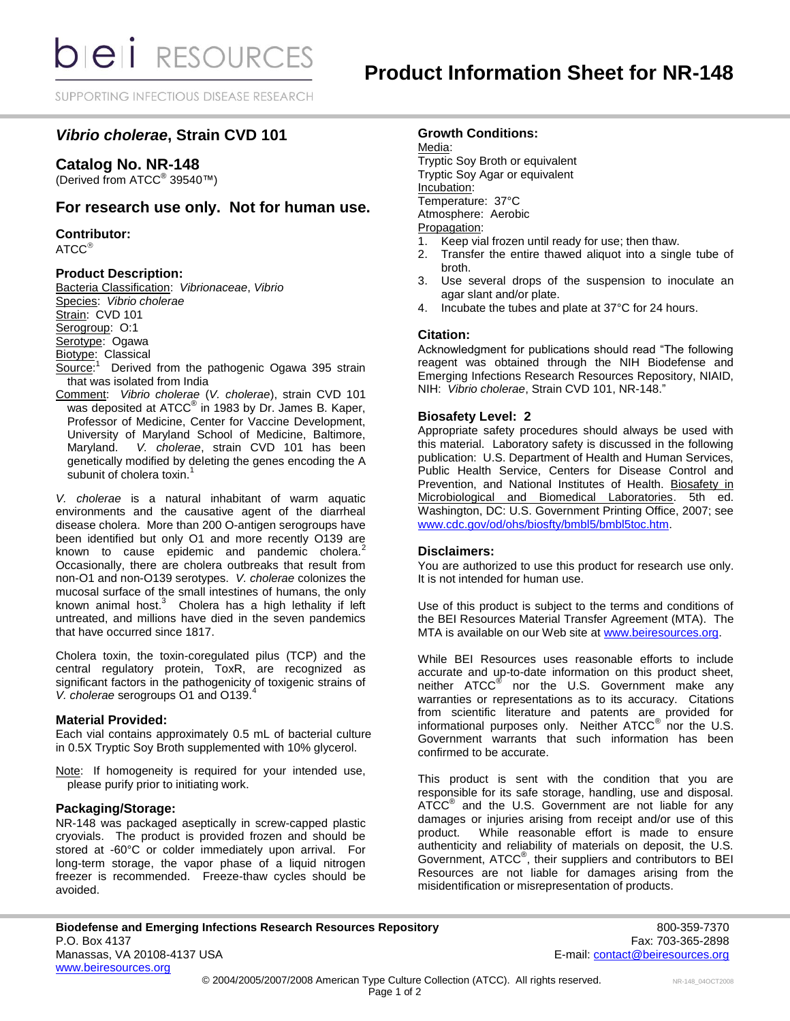SUPPORTING INFECTIOUS DISEASE RESEARCH

# *Vibrio cholerae***, Strain CVD 101**

# **Catalog No. NR-148**

(Derived from ATCC<sup>®</sup> 39540™)

# **For research use only. Not for human use.**

**Contributor:**  $ATCC^{\circledR}$ 

# **Product Description:**

Bacteria Classification: *Vibrionaceae*, *Vibrio* Species: *Vibrio cholerae* Strain: CVD 101 Serogroup: O:1 Serotype: Ogawa Biotype: Classical Source:<sup>1</sup> Derived from the pathogenic Ogawa 395 strain

that was isolated from India Comment: *Vibrio cholerae* (*V. cholerae*), strain CVD 101

was deposited at ATCC<sup>®</sup> in 1983 by Dr. James B. Kaper, Professor of Medicine, Center for Vaccine Development, University of Maryland School of Medicine, Baltimore, Maryland. V. cholerae, strain CVD 101 has been V. cholerae, strain CVD 101 has been genetically modified by deleting the genes encoding the A subunit of cholera toxin.<sup>1</sup>

*V. cholerae* is a natural inhabitant of warm aquatic environments and the causative agent of the diarrheal disease cholera. More than 200 O-antigen serogroups have been identified but only O1 and more recently O139 are known to cause epidemic and pandemic cholera.<sup>2</sup> Occasionally, there are cholera outbreaks that result from non-O1 and non-O139 serotypes. *V. cholerae* colonizes the mucosal surface of the small intestines of humans, the only known animal host. $3$  Cholera has a high lethality if left untreated, and millions have died in the seven pandemics that have occurred since 1817.

Cholera toxin, the toxin-coregulated pilus (TCP) and the central regulatory protein, ToxR, are recognized as significant factors in the pathogenicity of toxigenic strains of *V. cholerae* serogroups O1 and O139.<sup>4</sup>

### **Material Provided:**

Each vial contains approximately 0.5 mL of bacterial culture in 0.5X Tryptic Soy Broth supplemented with 10% glycerol.

Note: If homogeneity is required for your intended use, please purify prior to initiating work.

# **Packaging/Storage:**

NR-148 was packaged aseptically in screw-capped plastic cryovials. The product is provided frozen and should be stored at -60°C or colder immediately upon arrival. For long-term storage, the vapor phase of a liquid nitrogen freezer is recommended. Freeze-thaw cycles should be avoided.

## **Growth Conditions:**

Media:

Tryptic Soy Broth or equivalent Tryptic Soy Agar or equivalent Incubation: Temperature: 37°C Atmosphere: Aerobic Propagation:

- 1. Keep vial frozen until ready for use; then thaw.
- 2. Transfer the entire thawed aliquot into a single tube of broth.
- 3. Use several drops of the suspension to inoculate an agar slant and/or plate.
- 4. Incubate the tubes and plate at 37°C for 24 hours.

### **Citation:**

Acknowledgment for publications should read "The following reagent was obtained through the NIH Biodefense and Emerging Infections Research Resources Repository, NIAID, NIH: *Vibrio cholerae*, Strain CVD 101, NR-148."

## **Biosafety Level: 2**

Appropriate safety procedures should always be used with this material. Laboratory safety is discussed in the following publication: U.S. Department of Health and Human Services, Public Health Service, Centers for Disease Control and Prevention, and National Institutes of Health. Biosafety in Microbiological and Biomedical Laboratories. 5th ed. Washington, DC: U.S. Government Printing Office, 2007; see [www.cdc.gov/od/ohs/biosfty/bmbl5/bmbl5toc.htm.](http://www.cdc.gov/od/ohs/biosfty/bmbl5/bmbl5toc.htm)

### **Disclaimers:**

You are authorized to use this product for research use only. It is not intended for human use.

Use of this product is subject to the terms and conditions of the BEI Resources Material Transfer Agreement (MTA). The MTA is available on our Web site at [www.beiresources.org.](http://www.beiresources.org/)

While BEI Resources uses reasonable efforts to include accurate and up-to-date information on this product sheet, neither ATCC<sup>®</sup> nor the U.S. Government make any warranties or representations as to its accuracy. Citations from scientific literature and patents are provided for informational purposes only. Neither  $\tt ATCC^@$  nor the U.S. Government warrants that such information has been confirmed to be accurate.

This product is sent with the condition that you are responsible for its safe storage, handling, use and disposal. ATCC<sup>®</sup> and the U.S. Government are not liable for any damages or injuries arising from receipt and/or use of this product. While reasonable effort is made to ensure authenticity and reliability of materials on deposit, the U.S. Government, ATCC® , their suppliers and contributors to BEI Resources are not liable for damages arising from the misidentification or misrepresentation of products.